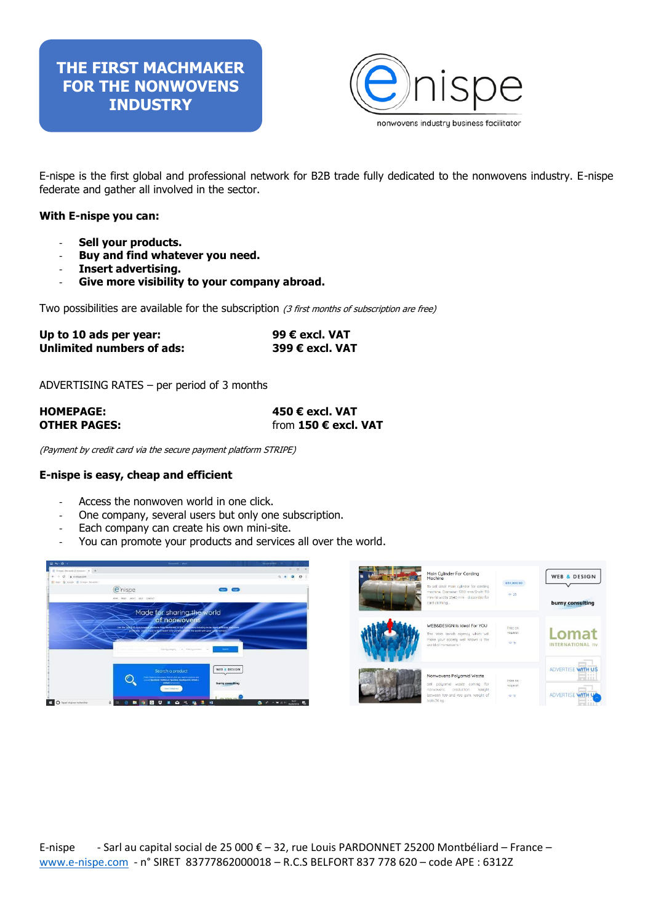### **THE FIRST MACHMAKER FOR THE NONWOVENS INDUSTRY**



E-nispe is the first global and professional network for B2B trade fully dedicated to the nonwovens industry. E-nispe federate and gather all involved in the sector.

### **With E-nispe you can:**

- **Sell your products.**
- **Buy and find whatever you need.**
- **Insert advertising.**
- Give more visibility to your company abroad.

Two possibilities are available for the subscription (3 first months of subscription are free)

| Up to 10 ads per year:    | 99 € excl. VAT  |
|---------------------------|-----------------|
| Unlimited numbers of ads: | 399 € excl. VAT |

ADVERTISING RATES – per period of 3 months

| <b>HOMEPAGE:</b>    | 450 € excl. VAT      |
|---------------------|----------------------|
| <b>OTHER PAGES:</b> | from 150 € excl. VAT |

(Payment by credit card via the secure payment platform STRIPE)

#### **E-nispe is easy, cheap and efficient**

- Access the nonwoven world in one click.
- One company, several users but only one subscription.
- Each company can create his own mini-site.
- You can promote your products and services all over the world.